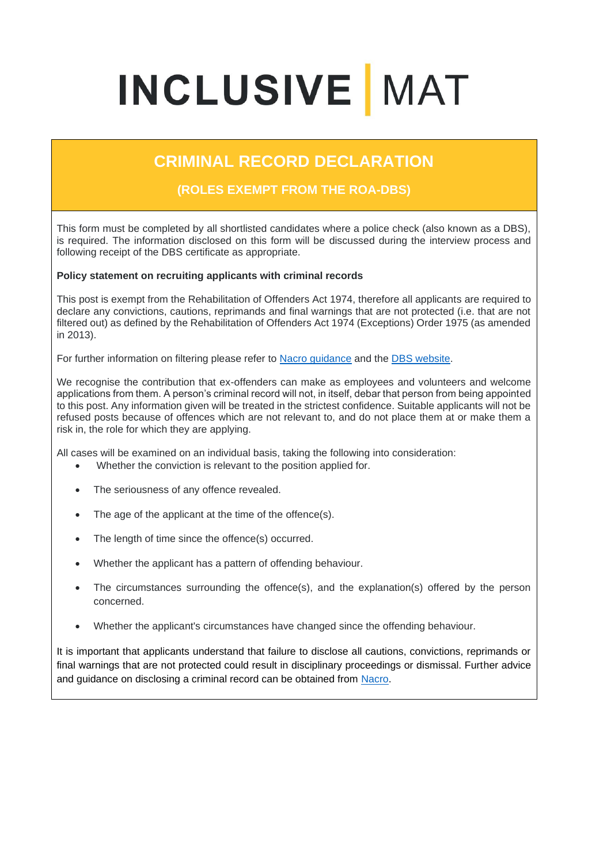## **INCLUSIVE MAT**

## **CRIMINAL RECORD DECLARATION**

## **(ROLES EXEMPT FROM THE ROA-DBS)**

This form must be completed by all shortlisted candidates where a police check (also known as a DBS), is required. The information disclosed on this form will be discussed during the interview process and following receipt of the DBS certificate as appropriate.

## **Policy statement on recruiting applicants with criminal records**

This post is exempt from the Rehabilitation of Offenders Act 1974, therefore all applicants are required to declare any convictions, cautions, reprimands and final warnings that are not protected (i.e. that are not filtered out) as defined by the Rehabilitation of Offenders Act 1974 (Exceptions) Order 1975 (as amended in 2013).

For further information on filtering please refer to [Nacro guidance](https://www.nacro.org.uk/resettlement-advice-service/support-for-practitioners/the-law-on-disclosure/#spent) and the [DBS website.](https://www.gov.uk/government/publications/dbs-filtering-guidance/dbs-filtering-guide)

We recognise the contribution that ex-offenders can make as employees and volunteers and welcome applications from them. A person's criminal record will not, in itself, debar that person from being appointed to this post. Any information given will be treated in the strictest confidence. Suitable applicants will not be refused posts because of offences which are not relevant to, and do not place them at or make them a risk in, the role for which they are applying.

All cases will be examined on an individual basis, taking the following into consideration:

- Whether the conviction is relevant to the position applied for.
- The seriousness of any offence revealed.
- The age of the applicant at the time of the offence(s).
- The length of time since the offence(s) occurred.
- Whether the applicant has a pattern of offending behaviour.
- The circumstances surrounding the offence(s), and the explanation(s) offered by the person concerned.
- Whether the applicant's circumstances have changed since the offending behaviour.

It is important that applicants understand that failure to disclose all cautions, convictions, reprimands or final warnings that are not protected could result in disciplinary proceedings or dismissal. Further advice and guidance on disclosing a criminal record can be obtained from [Nacro.](http://www.nacro.org.uk/data/files/practical-guidance-on-dbs-filtering-1032.pdf)